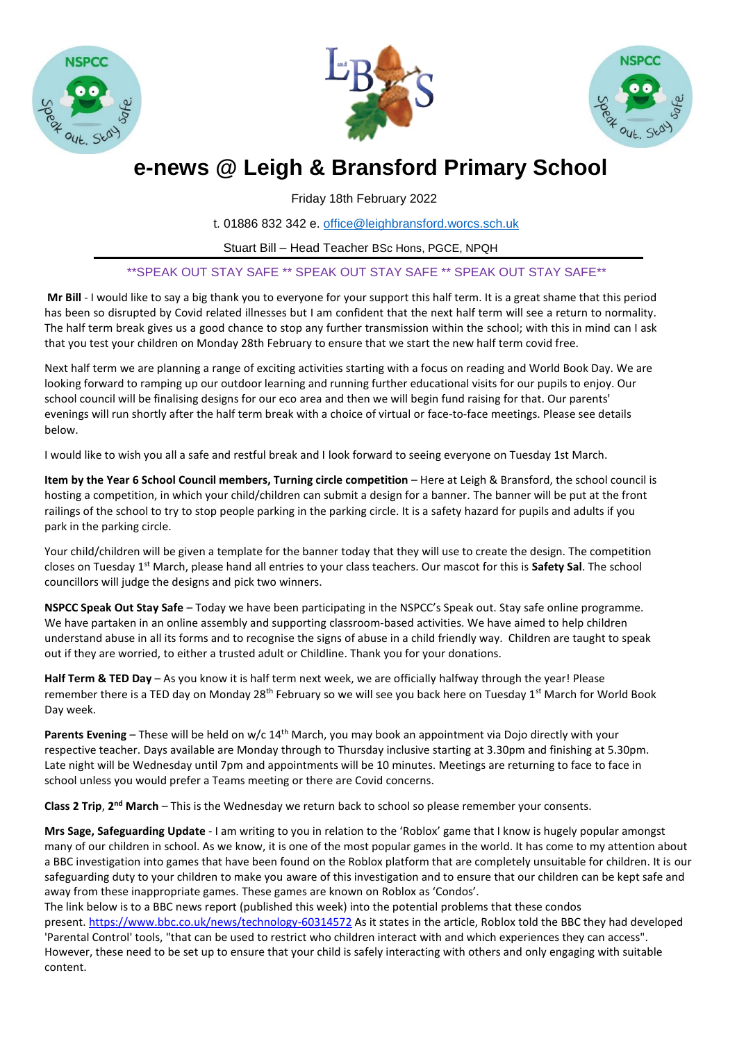





# **e-news @ Leigh & Bransford Primary School**

Friday 18th February 2022

t. 01886 832 342 e. [office@leighbransford.worcs.sch.uk](mailto:office@leighbransford.worcs.sch.uk)

Stuart Bill – Head Teacher BSc Hons, PGCE, NPQH

## \*\*SPEAK OUT STAY SAFE \*\* SPEAK OUT STAY SAFE \*\* SPEAK OUT STAY SAFE\*\*

**Mr Bill** - I would like to say a big thank you to everyone for your support this half term. It is a great shame that this period has been so disrupted by Covid related illnesses but I am confident that the next half term will see a return to normality. The half term break gives us a good chance to stop any further transmission within the school; with this in mind can I ask that you test your children on Monday 28th February to ensure that we start the new half term covid free.

Next half term we are planning a range of exciting activities starting with a focus on reading and World Book Day. We are looking forward to ramping up our outdoor learning and running further educational visits for our pupils to enjoy. Our school council will be finalising designs for our eco area and then we will begin fund raising for that. Our parents' evenings will run shortly after the half term break with a choice of virtual or face-to-face meetings. Please see details below.

I would like to wish you all a safe and restful break and I look forward to seeing everyone on Tuesday 1st March.

**Item by the Year 6 School Council members, Turning circle competition** – Here at Leigh & Bransford, the school council is hosting a competition, in which your child/children can submit a design for a banner. The banner will be put at the front railings of the school to try to stop people parking in the parking circle. It is a safety hazard for pupils and adults if you park in the parking circle.

Your child/children will be given a template for the banner today that they will use to create the design. The competition closes on Tuesday 1st March, please hand all entries to your class teachers. Our mascot for this is **Safety Sal**. The school councillors will judge the designs and pick two winners.

**NSPCC Speak Out Stay Safe** – Today we have been participating in the NSPCC's Speak out. Stay safe online programme. We have partaken in an online assembly and supporting classroom-based activities. We have aimed to help children understand abuse in all its forms and to recognise the signs of abuse in a child friendly way. Children are taught to speak out if they are worried, to either a trusted adult or Childline. Thank you for your donations.

**Half Term & TED Day** – As you know it is half term next week, we are officially halfway through the year! Please remember there is a TED day on Monday 28<sup>th</sup> February so we will see you back here on Tuesday 1<sup>st</sup> March for World Book Day week.

**Parents Evening** – These will be held on w/c 14th March, you may book an appointment via Dojo directly with your respective teacher. Days available are Monday through to Thursday inclusive starting at 3.30pm and finishing at 5.30pm. Late night will be Wednesday until 7pm and appointments will be 10 minutes. Meetings are returning to face to face in school unless you would prefer a Teams meeting or there are Covid concerns.

Class 2 Trip, 2<sup>nd</sup> March – This is the Wednesday we return back to school so please remember your consents.

**Mrs Sage, Safeguarding Update** - I am writing to you in relation to the 'Roblox' game that I know is hugely popular amongst many of our children in school. As we know, it is one of the most popular games in the world. It has come to my attention about a BBC investigation into games that have been found on the Roblox platform that are completely unsuitable for children. It is our safeguarding duty to your children to make you aware of this investigation and to ensure that our children can be kept safe and away from these inappropriate games. These games are known on Roblox as 'Condos'.

The link below is to a BBC news report (published this week) into the potential problems that these condos present. <https://www.bbc.co.uk/news/technology-60314572> As it states in the article, Roblox told the BBC they had developed 'Parental Control' tools, "that can be used to restrict who children interact with and which experiences they can access". However, these need to be set up to ensure that your child is safely interacting with others and only engaging with suitable content.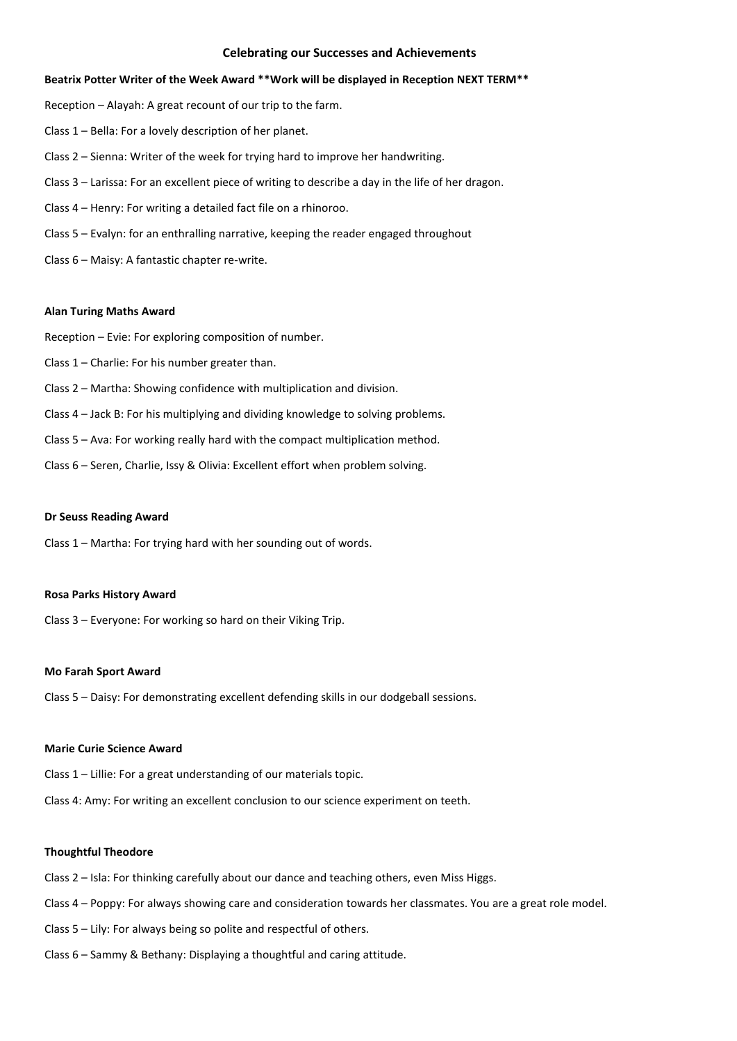### **Celebrating our Successes and Achievements**

### **Beatrix Potter Writer of the Week Award \*\*Work will be displayed in Reception NEXT TERM\*\***

Reception – Alayah: A great recount of our trip to the farm.

- Class 1 Bella: For a lovely description of her planet.
- Class 2 Sienna: Writer of the week for trying hard to improve her handwriting.
- Class 3 Larissa: For an excellent piece of writing to describe a day in the life of her dragon.
- Class 4 Henry: For writing a detailed fact file on a rhinoroo.
- Class 5 Evalyn: for an enthralling narrative, keeping the reader engaged throughout
- Class 6 Maisy: A fantastic chapter re-write.

#### **Alan Turing Maths Award**

Reception – Evie: For exploring composition of number.

- Class 1 Charlie: For his number greater than.
- Class 2 Martha: Showing confidence with multiplication and division.
- Class 4 Jack B: For his multiplying and dividing knowledge to solving problems.
- Class 5 Ava: For working really hard with the compact multiplication method.
- Class 6 Seren, Charlie, Issy & Olivia: Excellent effort when problem solving.

### **Dr Seuss Reading Award**

Class 1 – Martha: For trying hard with her sounding out of words.

### **Rosa Parks History Award**

Class 3 – Everyone: For working so hard on their Viking Trip.

#### **Mo Farah Sport Award**

Class 5 – Daisy: For demonstrating excellent defending skills in our dodgeball sessions.

### **Marie Curie Science Award**

Class 1 – Lillie: For a great understanding of our materials topic.

Class 4: Amy: For writing an excellent conclusion to our science experiment on teeth.

### **Thoughtful Theodore**

- Class 2 Isla: For thinking carefully about our dance and teaching others, even Miss Higgs.
- Class 4 Poppy: For always showing care and consideration towards her classmates. You are a great role model.
- Class 5 Lily: For always being so polite and respectful of others.
- Class 6 Sammy & Bethany: Displaying a thoughtful and caring attitude.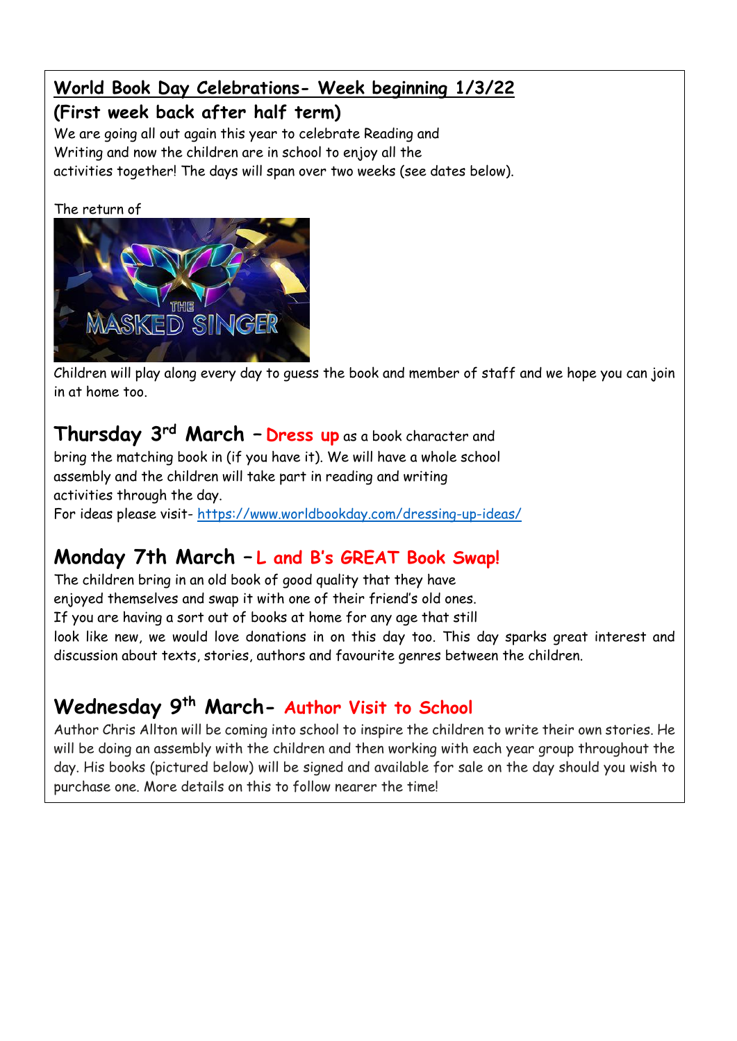# **World Book Day Celebrations- Week beginning 1/3/22**

# **(First week back after half term)**

We are going all out again this year to celebrate Reading and Writing and now the children are in school to enjoy all the activities together! The days will span over two weeks (see dates below).

## The return of



Children will play along every day to guess the book and member of staff and we hope you can join in at home too.

# **Thursday 3rd March – Dress up** as a book character and

 $\mid$  bring the matching book in (if you have it). We will have a whole school activities through the day. For ideas please visit- <https://www.worldbookday.com/dressing-up-ideas/> assembly and the children will take part in reading and writing

## Easter – Friday 8th April 2022 – Monday 25th April 2022 **Monday 7th March – L and B's GREAT Book Swap!**

enjoyed themselves and swap it with one of their friend's old ones.  $\,$  look like new, we would love donations in on this day too. This day sparks great interest and Good Friday 15th April 2022 Platinum Jubilee Holiday 15th April 2022 Platinum Jubilee Holiday 2022 The children bring in an old book of good quality that they have If you are having a sort out of books at home for any age that still discussion about texts, stories, authors and favourite genres between the children.

## Easter Monday – Monday 18th April 2022 Additional Bank Holiday – Friday 22nd July 2022 (Please see Wednesday 9<sup>th</sup> March- Author Visit to School

 $\mid$  day. His books (pictured below) will be signed and available for sale on the day should you wish to purchase one. More details on this to follow nearer the time! Author Chris Allton will be coming into school to inspire the children to write their own stories. He will be doing an assembly with the children and then working with each year group throughout the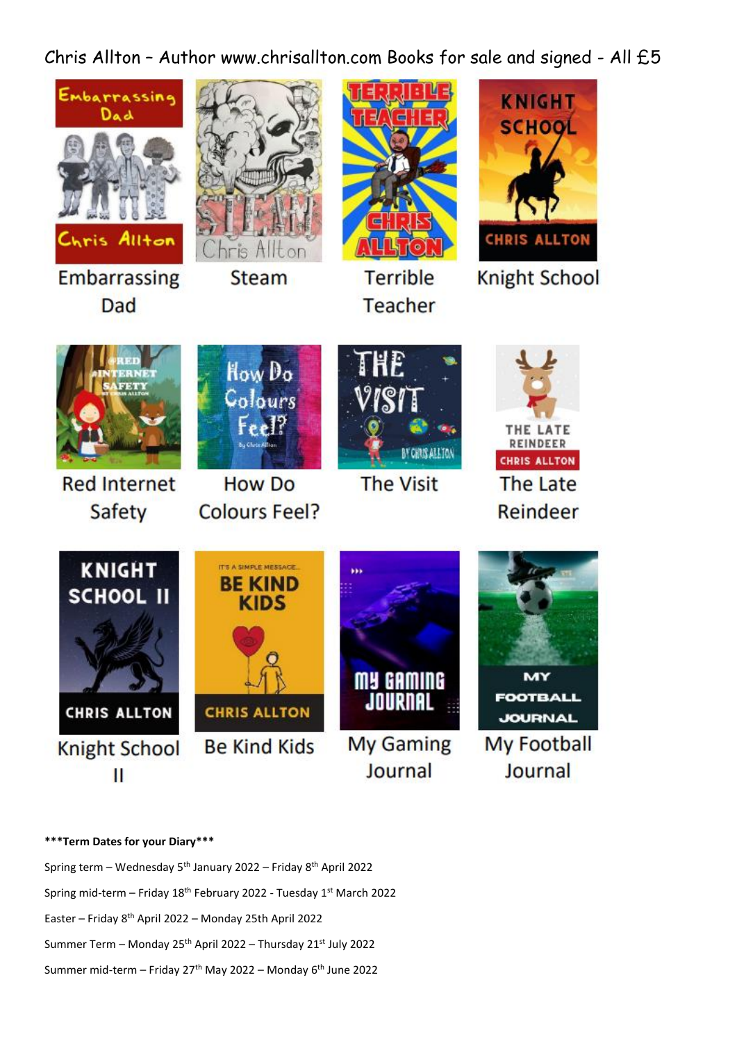Chris Allton – Author www.chrisallton.com Books for sale and signed - All £5





**Knight School** 



**BY CHRIS ALL TON** 



# **\*\*\*Term Dates for your Diary\*\*\***

Spring term – Wednesday 5<sup>th</sup> January 2022 – Friday 8<sup>th</sup> April 2022 Spring mid-term - Friday 18<sup>th</sup> February 2022 - Tuesday 1<sup>st</sup> March 2022 Easter – Friday 8th April 2022 – Monday 25th April 2022 Summer Term – Monday 25th April 2022 – Thursday 21st July 2022 Summer mid-term – Friday 27<sup>th</sup> May 2022 – Monday 6<sup>th</sup> June 2022